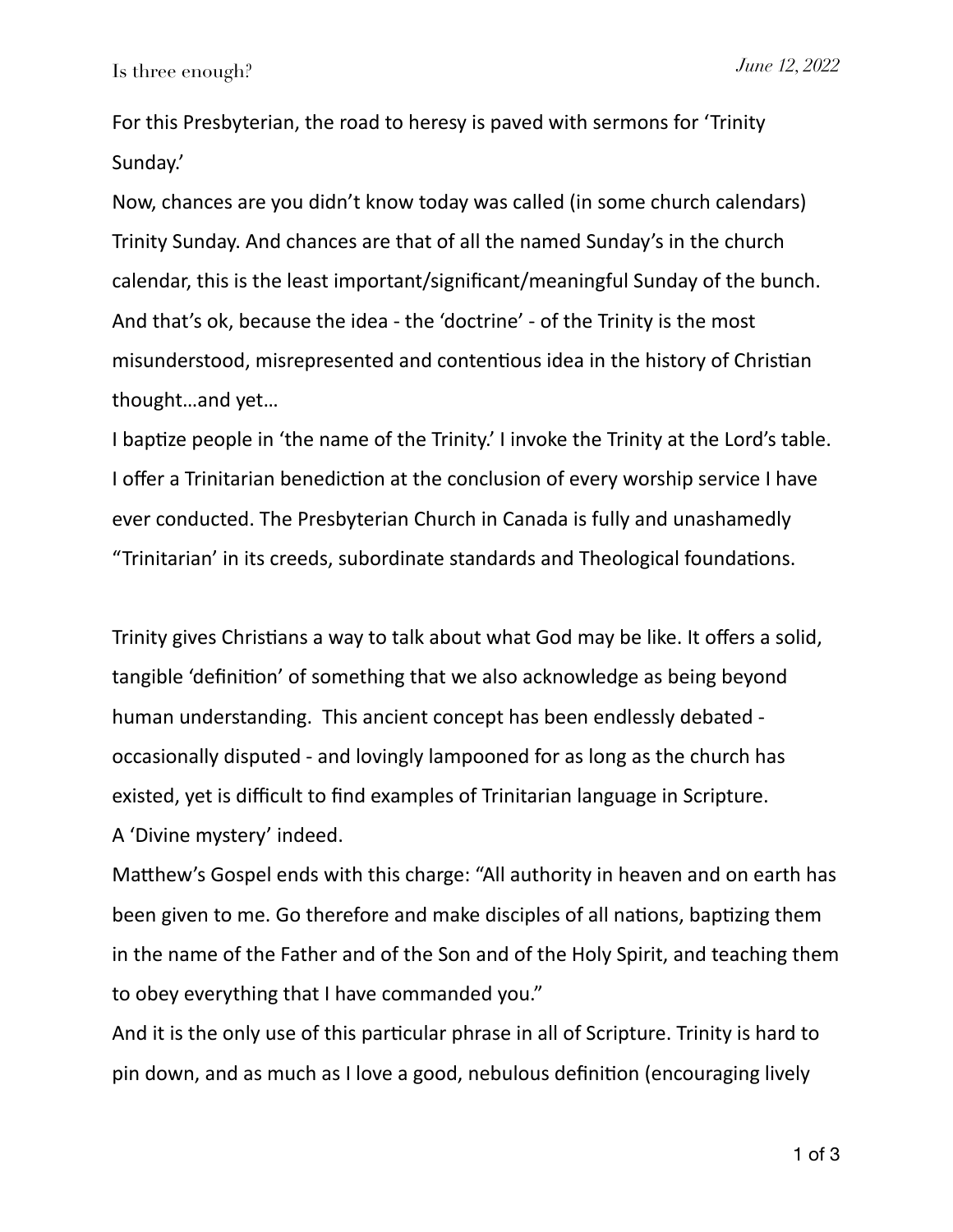For this Presbyterian, the road to heresy is paved with sermons for 'Trinity Sunday.'

Now, chances are you didn't know today was called (in some church calendars) Trinity Sunday. And chances are that of all the named Sunday's in the church calendar, this is the least important/significant/meaningful Sunday of the bunch. And that's ok, because the idea - the 'doctrine' - of the Trinity is the most misunderstood, misrepresented and contentious idea in the history of Christian thought…and yet…

I baptize people in 'the name of the Trinity.' I invoke the Trinity at the Lord's table. I offer a Trinitarian benediction at the conclusion of every worship service I have ever conducted. The Presbyterian Church in Canada is fully and unashamedly "Trinitarian' in its creeds, subordinate standards and Theological foundations.

Trinity gives Christians a way to talk about what God may be like. It offers a solid, tangible 'definition' of something that we also acknowledge as being beyond human understanding. This ancient concept has been endlessly debated occasionally disputed - and lovingly lampooned for as long as the church has existed, yet is difficult to find examples of Trinitarian language in Scripture. A 'Divine mystery' indeed.

Matthew's Gospel ends with this charge: "All authority in heaven and on earth has been given to me. Go therefore and make disciples of all nations, baptizing them in the name of the Father and of the Son and of the Holy Spirit, and teaching them to obey everything that I have commanded you."

And it is the only use of this particular phrase in all of Scripture. Trinity is hard to pin down, and as much as I love a good, nebulous definition (encouraging lively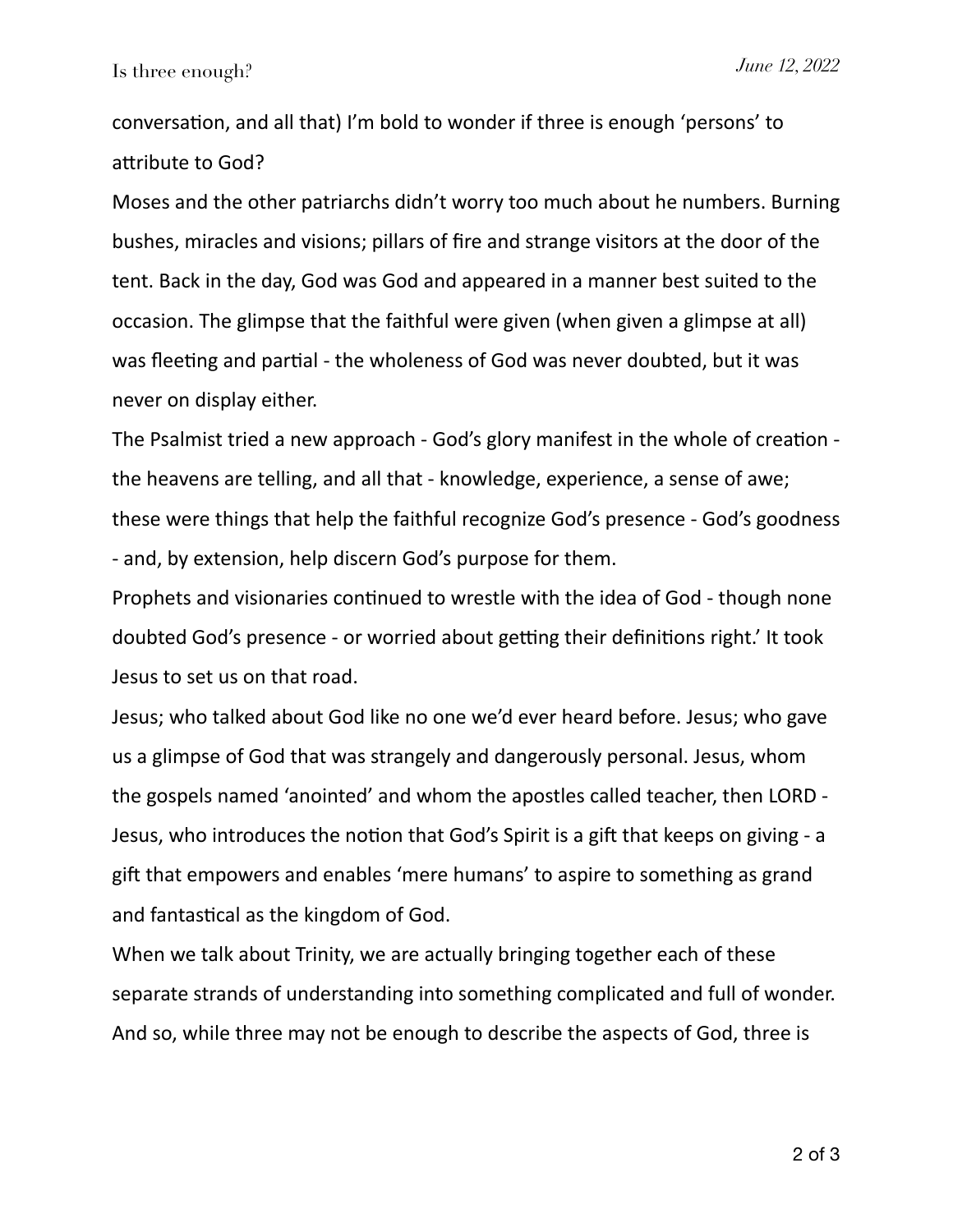conversation, and all that) I'm bold to wonder if three is enough 'persons' to attribute to God?

Moses and the other patriarchs didn't worry too much about he numbers. Burning bushes, miracles and visions; pillars of fire and strange visitors at the door of the tent. Back in the day, God was God and appeared in a manner best suited to the occasion. The glimpse that the faithful were given (when given a glimpse at all) was fleeting and partial - the wholeness of God was never doubted, but it was never on display either.

The Psalmist tried a new approach - God's glory manifest in the whole of creation the heavens are telling, and all that - knowledge, experience, a sense of awe; these were things that help the faithful recognize God's presence - God's goodness - and, by extension, help discern God's purpose for them.

Prophets and visionaries continued to wrestle with the idea of God - though none doubted God's presence - or worried about getting their definitions right.' It took Jesus to set us on that road.

Jesus; who talked about God like no one we'd ever heard before. Jesus; who gave us a glimpse of God that was strangely and dangerously personal. Jesus, whom the gospels named 'anointed' and whom the apostles called teacher, then LORD - Jesus, who introduces the notion that God's Spirit is a gift that keeps on giving - a gift that empowers and enables 'mere humans' to aspire to something as grand and fantastical as the kingdom of God.

When we talk about Trinity, we are actually bringing together each of these separate strands of understanding into something complicated and full of wonder. And so, while three may not be enough to describe the aspects of God, three is